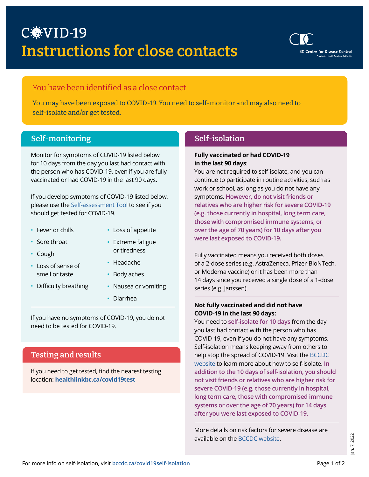

# You have been identified as a close contact

You may have been exposed to COVID-19. You need to self-monitor and may also need to self-isolate and/or get tested.

# Self-monitoring Self-isolation

Monitor for symptoms of COVID-19 listed below for 10 days from the day you last had contact with the person who has COVID-19, even if you are fully vaccinated or had COVID-19 in the last 90 days.

If you develop symptoms of COVID-19 listed below, please use the [Self-assessment Tool](https://bc.thrive.health/covid19/en) to see if you should get tested for COVID-19.

- Fever or chills
- Sore throat
- Extreme fatigue
- Cough
- Loss of sense of smell or taste
- Headache

or tiredness

• Loss of appetite

- Body aches
- Difficulty breathing
- Nausea or vomiting
- Diarrhea

If you have no symptoms of COVID-19, you do not need to be tested for COVID-19.

# Testing and results

If you need to get tested, find the nearest testing location: **[healthlinkbc.ca/covid19test](http://healthlinkbc.ca/covid19test)**

### **Fully vaccinated or had COVID-19 in the last 90 days**:

You are not required to self-isolate, and you can continue to participate in routine activities, such as work or school, as long as you do not have any symptoms. **However, do not visit friends or relatives who are higher risk for severe COVID-19 (e.g. those currently in hospital, long term care, those with compromised immune systems, or over the age of 70 years) for 10 days after you were last exposed to COVID-19.**

Fully vaccinated means you received both doses of a 2-dose series (e.g. AstraZeneca, Pfizer-BioNTech, or Moderna vaccine) or it has been more than 14 days since you received a single dose of a 1-dose series (e.g. Janssen).

### **Not fully vaccinated and did not have COVID-19 in the last 90 days:**

You need to **self-isolate for 10 days** from the day you last had contact with the person who has COVID-19, even if you do not have any symptoms. Self-isolation means keeping away from others to help stop the spread of COVID-19. Visit the [BCCDC](http://bccdc.ca/covid19selfisolation) [website](http://bccdc.ca/covid19selfisolation) to learn more about how to self-isolate. **In addition to the 10 days of self-isolation, you should not visit friends or relatives who are higher risk for severe COVID-19 (e.g. those currently in hospital, long term care, those with compromised immune systems or over the age of 70 years) for 14 days after you were last exposed to COVID-19.**

More details on risk factors for severe disease are available on the BCCDC [website](http://www.bccdc.ca/health-professionals/clinical-resources/covid-19-care/clinical-care/risk-factors-severe-covid-19-disease).